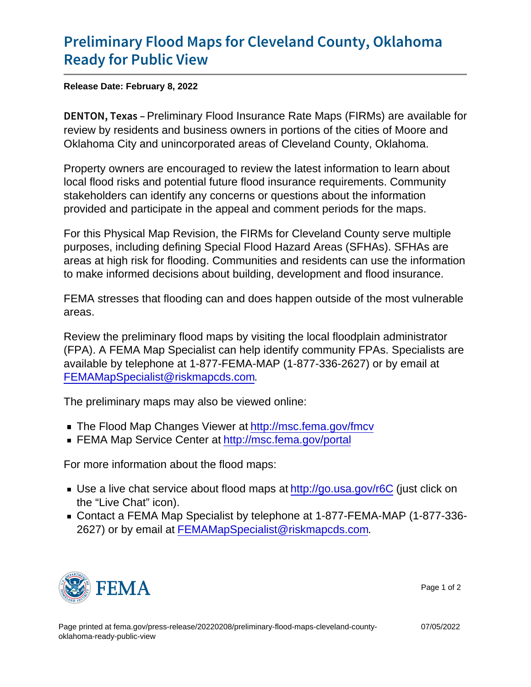## [Preliminary Flood Maps for Clevel](https://www.fema.gov/press-release/20220208/preliminary-flood-maps-cleveland-county-oklahoma-ready-public-view)and Cou [Ready for Pu](https://www.fema.gov/press-release/20220208/preliminary-flood-maps-cleveland-county-oklahoma-ready-public-view)blic View

Release Date: February 8, 2022

DENTON, Peekimainary Flood Insurance Rate Maps (FIRMs) are available for review by residents and business owners in portions of the cities of Moore and Oklahoma City and unincorporated areas of Cleveland County, Oklahoma.

Property owners are encouraged to review the latest information to learn about local flood risks and potential future flood insurance requirements. Community stakeholders can identify any concerns or questions about the information provided and participate in the appeal and comment periods for the maps.

For this Physical Map Revision, the FIRMs for Cleveland County serve multiple purposes, including defining Special Flood Hazard Areas (SFHAs). SFHAs are areas at high risk for flooding. Communities and residents can use the information to make informed decisions about building, development and flood insurance.

FEMA stresses that flooding can and does happen outside of the most vulnerable areas.

Review the preliminary flood maps by visiting the local floodplain administrator (FPA). A FEMA Map Specialist can help identify community FPAs. Specialists are available by telephone at 1-877-FEMA-MAP (1-877-336-2627) or by email at [FEMAMapSpecialist@riskmapcds.com](mailto:FEMAMapSpecialist@riskmapcds.com).

The preliminary maps may also be viewed online:

- The Flood Map Changes Viewer at<http://msc.fema.gov/fmcv>
- FEMA Map Service Center at<http://msc.fema.gov/portal>

For more information about the flood maps:

- Use a live chat service about flood maps at<http://go.usa.gov/r6C> (just click on the "Live Chat" icon).
- Contact a FEMA Map Specialist by telephone at 1-877-FEMA-MAP (1-877-336- 2627) or by email at [FEMAMapSpecialist@riskmapcds.com.](mailto:FEMAMapSpecialist@riskmapcds.com)



07/05/2022